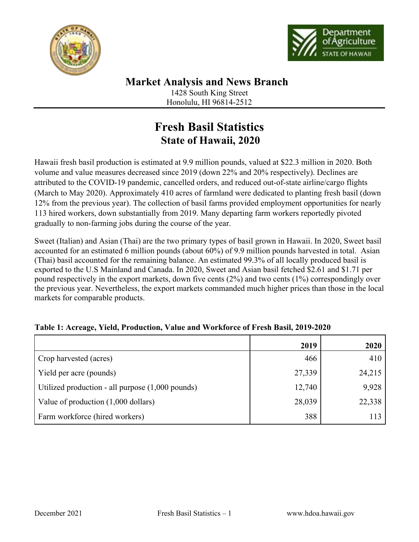



## **Market Analysis and News Branch** 1428 South King Street

Honolulu, HI 96814-2512

# **Fresh Basil Statistics State of Hawaii, 2020**

Hawaii fresh basil production is estimated at 9.9 million pounds, valued at \$22.3 million in 2020. Both volume and value measures decreased since 2019 (down 22% and 20% respectively). Declines are attributed to the COVID-19 pandemic, cancelled orders, and reduced out-of-state airline/cargo flights (March to May 2020). Approximately 410 acres of farmland were dedicated to planting fresh basil (down 12% from the previous year). The collection of basil farms provided employment opportunities for nearly 113 hired workers, down substantially from 2019. Many departing farm workers reportedly pivoted gradually to non-farming jobs during the course of the year.

Sweet (Italian) and Asian (Thai) are the two primary types of basil grown in Hawaii. In 2020, Sweet basil accounted for an estimated 6 million pounds (about 60%) of 9.9 million pounds harvested in total. Asian (Thai) basil accounted for the remaining balance. An estimated 99.3% of all locally produced basil is exported to the U.S Mainland and Canada. In 2020, Sweet and Asian basil fetched \$2.61 and \$1.71 per pound respectively in the export markets, down five cents (2%) and two cents (1%) correspondingly over the previous year. Nevertheless, the export markets commanded much higher prices than those in the local markets for comparable products.

|                                                    | 2019   | 2020   |
|----------------------------------------------------|--------|--------|
| Crop harvested (acres)                             | 466    | 410    |
| Yield per acre (pounds)                            | 27,339 | 24,215 |
| Utilized production - all purpose $(1,000$ pounds) | 12,740 | 9,928  |
| Value of production (1,000 dollars)                | 28,039 | 22,338 |
| Farm workforce (hired workers)                     | 388    | 113    |

### **Table 1: Acreage, Yield, Production, Value and Workforce of Fresh Basil, 2019-2020**